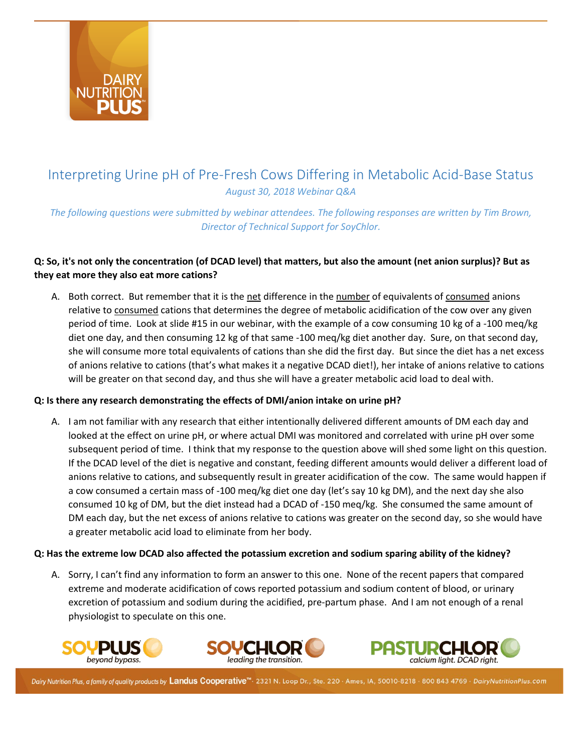

# Interpreting Urine pH of Pre-Fresh Cows Differing in Metabolic Acid-Base Status *August 30, 2018 Webinar Q&A*

*The following questions were submitted by webinar attendees. The following responses are written by Tim Brown, Director of Technical Support for SoyChlor.*

# **Q: So, it's not only the concentration (of DCAD level) that matters, but also the amount (net anion surplus)? But as they eat more they also eat more cations?**

A. Both correct. But remember that it is the net difference in the number of equivalents of consumed anions relative to consumed cations that determines the degree of metabolic acidification of the cow over any given period of time. Look at slide #15 in our webinar, with the example of a cow consuming 10 kg of a -100 meq/kg diet one day, and then consuming 12 kg of that same -100 meq/kg diet another day. Sure, on that second day, she will consume more total equivalents of cations than she did the first day. But since the diet has a net excess of anions relative to cations (that's what makes it a negative DCAD diet!), her intake of anions relative to cations will be greater on that second day, and thus she will have a greater metabolic acid load to deal with.

## **Q: Is there any research demonstrating the effects of DMI/anion intake on urine pH?**

A. I am not familiar with any research that either intentionally delivered different amounts of DM each day and looked at the effect on urine pH, or where actual DMI was monitored and correlated with urine pH over some subsequent period of time. I think that my response to the question above will shed some light on this question. If the DCAD level of the diet is negative and constant, feeding different amounts would deliver a different load of anions relative to cations, and subsequently result in greater acidification of the cow. The same would happen if a cow consumed a certain mass of -100 meq/kg diet one day (let's say 10 kg DM), and the next day she also consumed 10 kg of DM, but the diet instead had a DCAD of -150 meq/kg. She consumed the same amount of DM each day, but the net excess of anions relative to cations was greater on the second day, so she would have a greater metabolic acid load to eliminate from her body.

#### **Q: Has the extreme low DCAD also affected the potassium excretion and sodium sparing ability of the kidney?**

A. Sorry, I can't find any information to form an answer to this one. None of the recent papers that compared extreme and moderate acidification of cows reported potassium and sodium content of blood, or urinary excretion of potassium and sodium during the acidified, pre-partum phase. And I am not enough of a renal physiologist to speculate on this one.





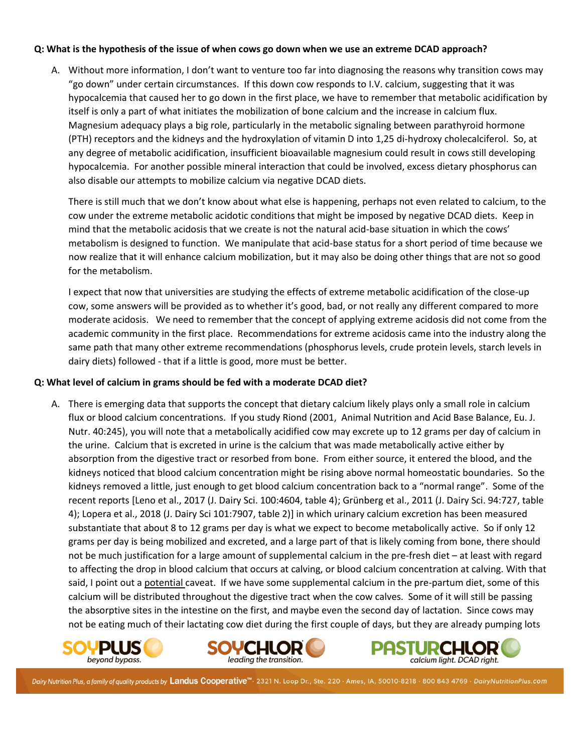#### **Q: What is the hypothesis of the issue of when cows go down when we use an extreme DCAD approach?**

A. Without more information, I don't want to venture too far into diagnosing the reasons why transition cows may "go down" under certain circumstances. If this down cow responds to I.V. calcium, suggesting that it was hypocalcemia that caused her to go down in the first place, we have to remember that metabolic acidification by itself is only a part of what initiates the mobilization of bone calcium and the increase in calcium flux. Magnesium adequacy plays a big role, particularly in the metabolic signaling between parathyroid hormone (PTH) receptors and the kidneys and the hydroxylation of vitamin D into 1,25 di-hydroxy cholecalciferol. So, at any degree of metabolic acidification, insufficient bioavailable magnesium could result in cows still developing hypocalcemia. For another possible mineral interaction that could be involved, excess dietary phosphorus can also disable our attempts to mobilize calcium via negative DCAD diets.

There is still much that we don't know about what else is happening, perhaps not even related to calcium, to the cow under the extreme metabolic acidotic conditions that might be imposed by negative DCAD diets. Keep in mind that the metabolic acidosis that we create is not the natural acid-base situation in which the cows' metabolism is designed to function. We manipulate that acid-base status for a short period of time because we now realize that it will enhance calcium mobilization, but it may also be doing other things that are not so good for the metabolism.

I expect that now that universities are studying the effects of extreme metabolic acidification of the close-up cow, some answers will be provided as to whether it's good, bad, or not really any different compared to more moderate acidosis. We need to remember that the concept of applying extreme acidosis did not come from the academic community in the first place. Recommendations for extreme acidosis came into the industry along the same path that many other extreme recommendations (phosphorus levels, crude protein levels, starch levels in dairy diets) followed - that if a little is good, more must be better.

#### **Q: What level of calcium in grams should be fed with a moderate DCAD diet?**

A. There is emerging data that supports the concept that dietary calcium likely plays only a small role in calcium flux or blood calcium concentrations. If you study Riond (2001, Animal Nutrition and Acid Base Balance, Eu. J. Nutr. 40:245), you will note that a metabolically acidified cow may excrete up to 12 grams per day of calcium in the urine. Calcium that is excreted in urine is the calcium that was made metabolically active either by absorption from the digestive tract or resorbed from bone. From either source, it entered the blood, and the kidneys noticed that blood calcium concentration might be rising above normal homeostatic boundaries. So the kidneys removed a little, just enough to get blood calcium concentration back to a "normal range". Some of the recent reports [Leno et al., 2017 (J. Dairy Sci. 100:4604, table 4); Grünberg et al., 2011 (J. Dairy Sci. 94:727, table 4); Lopera et al., 2018 (J. Dairy Sci 101:7907, table 2)] in which urinary calcium excretion has been measured substantiate that about 8 to 12 grams per day is what we expect to become metabolically active. So if only 12 grams per day is being mobilized and excreted, and a large part of that is likely coming from bone, there should not be much justification for a large amount of supplemental calcium in the pre-fresh diet – at least with regard to affecting the drop in blood calcium that occurs at calving, or blood calcium concentration at calving. With that said, I point out a potential caveat. If we have some supplemental calcium in the pre-partum diet, some of this calcium will be distributed throughout the digestive tract when the cow calves. Some of it will still be passing the absorptive sites in the intestine on the first, and maybe even the second day of lactation. Since cows may not be eating much of their lactating cow diet during the first couple of days, but they are already pumping lots





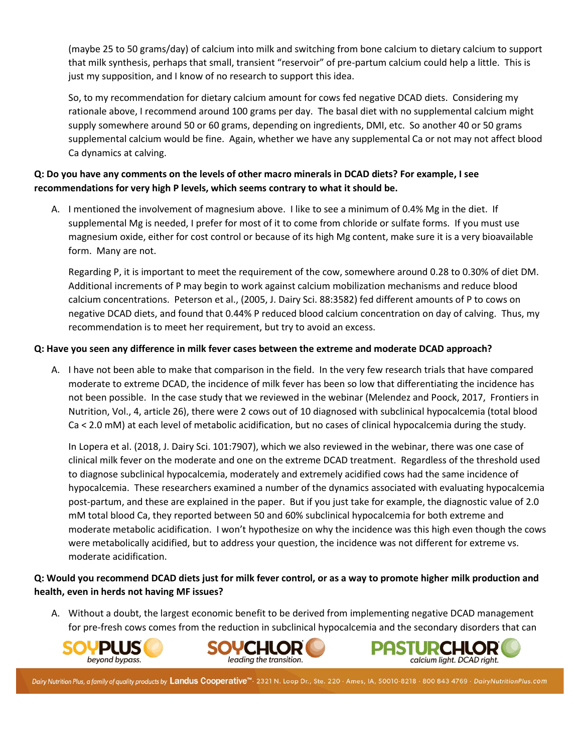(maybe 25 to 50 grams/day) of calcium into milk and switching from bone calcium to dietary calcium to support that milk synthesis, perhaps that small, transient "reservoir" of pre-partum calcium could help a little. This is just my supposition, and I know of no research to support this idea.

So, to my recommendation for dietary calcium amount for cows fed negative DCAD diets. Considering my rationale above, I recommend around 100 grams per day. The basal diet with no supplemental calcium might supply somewhere around 50 or 60 grams, depending on ingredients, DMI, etc. So another 40 or 50 grams supplemental calcium would be fine. Again, whether we have any supplemental Ca or not may not affect blood Ca dynamics at calving.

# **Q: Do you have any comments on the levels of other macro minerals in DCAD diets? For example, I see recommendations for very high P levels, which seems contrary to what it should be.**

A. I mentioned the involvement of magnesium above. I like to see a minimum of 0.4% Mg in the diet. If supplemental Mg is needed, I prefer for most of it to come from chloride or sulfate forms. If you must use magnesium oxide, either for cost control or because of its high Mg content, make sure it is a very bioavailable form. Many are not.

Regarding P, it is important to meet the requirement of the cow, somewhere around 0.28 to 0.30% of diet DM. Additional increments of P may begin to work against calcium mobilization mechanisms and reduce blood calcium concentrations. Peterson et al., (2005, J. Dairy Sci. 88:3582) fed different amounts of P to cows on negative DCAD diets, and found that 0.44% P reduced blood calcium concentration on day of calving. Thus, my recommendation is to meet her requirement, but try to avoid an excess.

## **Q: Have you seen any difference in milk fever cases between the extreme and moderate DCAD approach?**

A. I have not been able to make that comparison in the field. In the very few research trials that have compared moderate to extreme DCAD, the incidence of milk fever has been so low that differentiating the incidence has not been possible. In the case study that we reviewed in the webinar (Melendez and Poock, 2017, Frontiers in Nutrition, Vol., 4, article 26), there were 2 cows out of 10 diagnosed with subclinical hypocalcemia (total blood Ca < 2.0 mM) at each level of metabolic acidification, but no cases of clinical hypocalcemia during the study.

In Lopera et al. (2018, J. Dairy Sci. 101:7907), which we also reviewed in the webinar, there was one case of clinical milk fever on the moderate and one on the extreme DCAD treatment. Regardless of the threshold used to diagnose subclinical hypocalcemia, moderately and extremely acidified cows had the same incidence of hypocalcemia. These researchers examined a number of the dynamics associated with evaluating hypocalcemia post-partum, and these are explained in the paper. But if you just take for example, the diagnostic value of 2.0 mM total blood Ca, they reported between 50 and 60% subclinical hypocalcemia for both extreme and moderate metabolic acidification. I won't hypothesize on why the incidence was this high even though the cows were metabolically acidified, but to address your question, the incidence was not different for extreme vs. moderate acidification.

# **Q: Would you recommend DCAD diets just for milk fever control, or as a way to promote higher milk production and health, even in herds not having MF issues?**

A. Without a doubt, the largest economic benefit to be derived from implementing negative DCAD management for pre-fresh cows comes from the reduction in subclinical hypocalcemia and the secondary disorders that can





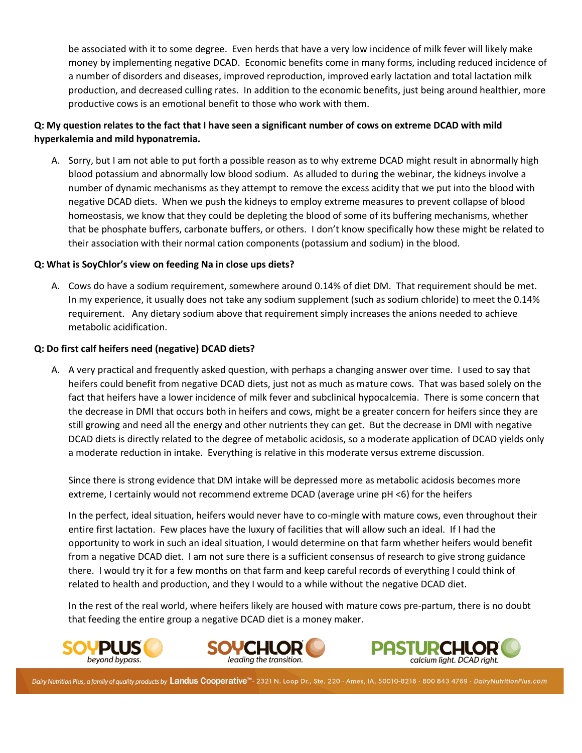be associated with it to some degree. Even herds that have a very low incidence of milk fever will likely make money by implementing negative DCAD. Economic benefits come in many forms, including reduced incidence of a number of disorders and diseases, improved reproduction, improved early lactation and total lactation milk production, and decreased culling rates. In addition to the economic benefits, just being around healthier, more productive cows is an emotional benefit to those who work with them.

# **Q: My question relates to the fact that I have seen a significant number of cows on extreme DCAD with mild hyperkalemia and mild hyponatremia.**

A. Sorry, but I am not able to put forth a possible reason as to why extreme DCAD might result in abnormally high blood potassium and abnormally low blood sodium. As alluded to during the webinar, the kidneys involve a number of dynamic mechanisms as they attempt to remove the excess acidity that we put into the blood with negative DCAD diets. When we push the kidneys to employ extreme measures to prevent collapse of blood homeostasis, we know that they could be depleting the blood of some of its buffering mechanisms, whether that be phosphate buffers, carbonate buffers, or others. I don't know specifically how these might be related to their association with their normal cation components (potassium and sodium) in the blood.

## **Q: What is SoyChlor's view on feeding Na in close ups diets?**

A. Cows do have a sodium requirement, somewhere around 0.14% of diet DM. That requirement should be met. In my experience, it usually does not take any sodium supplement (such as sodium chloride) to meet the 0.14% requirement. Any dietary sodium above that requirement simply increases the anions needed to achieve metabolic acidification.

#### **Q: Do first calf heifers need (negative) DCAD diets?**

A. A very practical and frequently asked question, with perhaps a changing answer over time. I used to say that heifers could benefit from negative DCAD diets, just not as much as mature cows. That was based solely on the fact that heifers have a lower incidence of milk fever and subclinical hypocalcemia. There is some concern that the decrease in DMI that occurs both in heifers and cows, might be a greater concern for heifers since they are still growing and need all the energy and other nutrients they can get. But the decrease in DMI with negative DCAD diets is directly related to the degree of metabolic acidosis, so a moderate application of DCAD yields only a moderate reduction in intake. Everything is relative in this moderate versus extreme discussion.

Since there is strong evidence that DM intake will be depressed more as metabolic acidosis becomes more extreme, I certainly would not recommend extreme DCAD (average urine pH <6) for the heifers

In the perfect, ideal situation, heifers would never have to co-mingle with mature cows, even throughout their entire first lactation. Few places have the luxury of facilities that will allow such an ideal. If I had the opportunity to work in such an ideal situation, I would determine on that farm whether heifers would benefit from a negative DCAD diet. I am not sure there is a sufficient consensus of research to give strong guidance there. I would try it for a few months on that farm and keep careful records of everything I could think of related to health and production, and they I would to a while without the negative DCAD diet.

In the rest of the real world, where heifers likely are housed with mature cows pre-partum, there is no doubt that feeding the entire group a negative DCAD diet is a money maker.